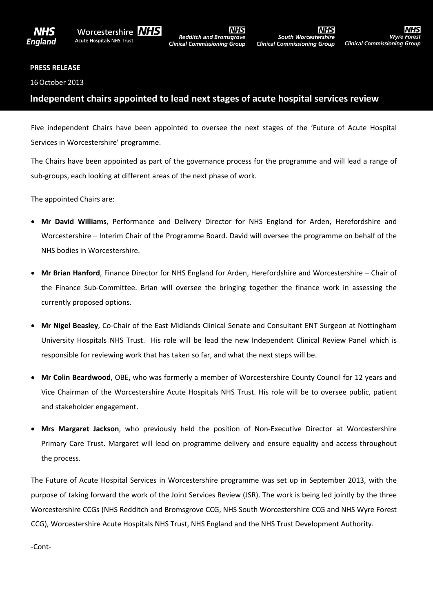

**Wyre Fore.** 

## **PRESS RELEASE**

16October 2013

## **Independent chairs appointed to lead next stages of acute hospital services review**

Five independent Chairs have been appointed to oversee the next stages of the 'Future of Acute Hospital Services in Worcestershire' programme.

The Chairs have been appointed as part of the governance process for the programme and will lead a range of sub-groups, each looking at different areas of the next phase of work.

The appointed Chairs are:

- **Mr David Williams**, Performance and Delivery Director for NHS England for Arden, Herefordshire and Worcestershire – Interim Chair of the Programme Board. David will oversee the programme on behalf of the NHS bodies in Worcestershire.
- **Mr Brian Hanford**, Finance Director for NHS England for Arden, Herefordshire and Worcestershire Chair of the Finance Sub-Committee. Brian will oversee the bringing together the finance work in assessing the currently proposed options.
- **Mr Nigel Beasley**, Co-Chair of the East Midlands Clinical Senate and Consultant ENT Surgeon at Nottingham University Hospitals NHS Trust. His role will be lead the new Independent Clinical Review Panel which is responsible for reviewing work that has taken so far, and what the next steps will be.
- **Mr Colin Beardwood**, OBE**,** who was formerly a member of Worcestershire County Council for 12 years and Vice Chairman of the Worcestershire Acute Hospitals NHS Trust. His role will be to oversee public, patient and stakeholder engagement.
- **Mrs Margaret Jackson**, who previously held the position of Non-Executive Director at Worcestershire Primary Care Trust. Margaret will lead on programme delivery and ensure equality and access throughout the process.

The Future of Acute Hospital Services in Worcestershire programme was set up in September 2013, with the purpose of taking forward the work of the Joint Services Review (JSR). The work is being led jointly by the three Worcestershire CCGs (NHS Redditch and Bromsgrove CCG, NHS South Worcestershire CCG and NHS Wyre Forest CCG), Worcestershire Acute Hospitals NHS Trust, NHS England and the NHS Trust Development Authority.

-Cont-